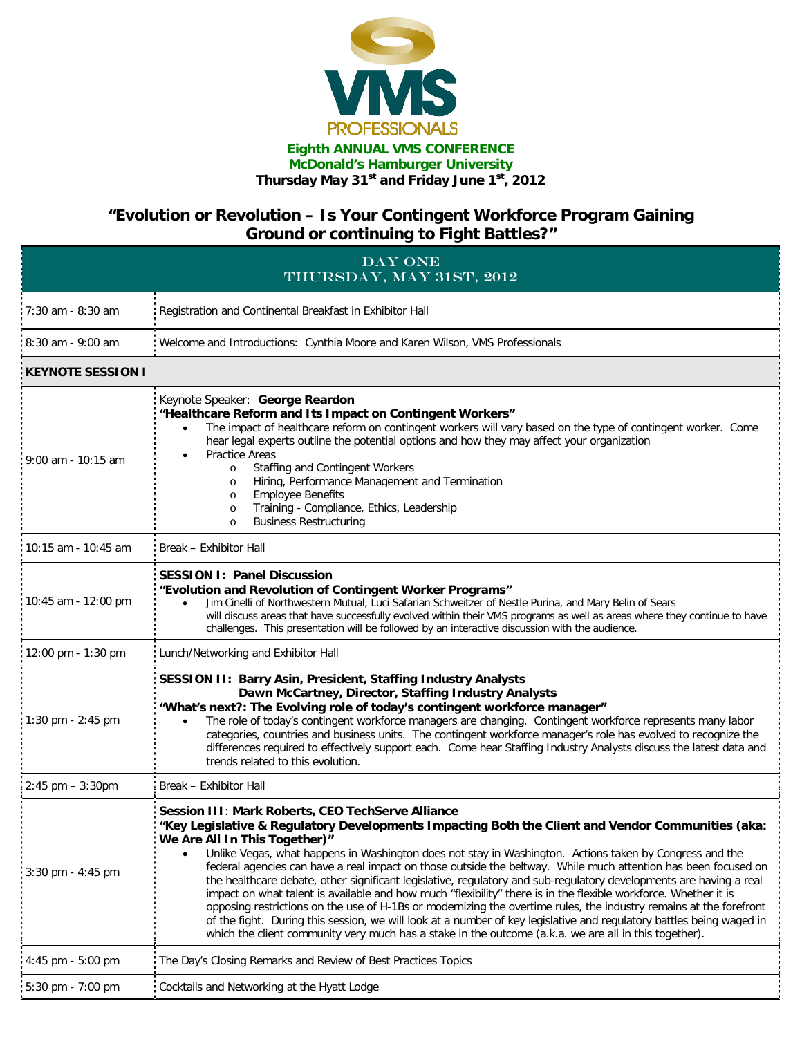

## **Eighth ANNUAL VMS CONFERENCE McDonald's Hamburger University Thursday May 31st and Friday June 1st, 2012**

## **"Evolution or Revolution – Is Your Contingent Workforce Program Gaining Ground or continuing to Fight Battles?"**

| DAY ONE<br>THURSDAY, MAY 31ST, 2012 |                                                                                                                                                                                                                                                                                                                                                                                                                                                                                                                                                                                                                                                                                                                                                                                                                                                                                                                                                                                                                      |  |
|-------------------------------------|----------------------------------------------------------------------------------------------------------------------------------------------------------------------------------------------------------------------------------------------------------------------------------------------------------------------------------------------------------------------------------------------------------------------------------------------------------------------------------------------------------------------------------------------------------------------------------------------------------------------------------------------------------------------------------------------------------------------------------------------------------------------------------------------------------------------------------------------------------------------------------------------------------------------------------------------------------------------------------------------------------------------|--|
| 7:30 am - 8:30 am                   | Registration and Continental Breakfast in Exhibitor Hall                                                                                                                                                                                                                                                                                                                                                                                                                                                                                                                                                                                                                                                                                                                                                                                                                                                                                                                                                             |  |
| $8:30$ am - 9:00 am                 | Welcome and Introductions: Cynthia Moore and Karen Wilson, VMS Professionals                                                                                                                                                                                                                                                                                                                                                                                                                                                                                                                                                                                                                                                                                                                                                                                                                                                                                                                                         |  |
| KEYNOTE SESSION I                   |                                                                                                                                                                                                                                                                                                                                                                                                                                                                                                                                                                                                                                                                                                                                                                                                                                                                                                                                                                                                                      |  |
| $9:00$ am - 10:15 am                | Keynote Speaker: George Reardon<br>"Healthcare Reform and Its Impact on Contingent Workers"<br>The impact of healthcare reform on contingent workers will vary based on the type of contingent worker. Come<br>$\bullet$<br>hear legal experts outline the potential options and how they may affect your organization<br><b>Practice Areas</b><br>٠<br>Staffing and Contingent Workers<br>$\circ$<br>Hiring, Performance Management and Termination<br>$\circ$<br><b>Employee Benefits</b><br>$\circ$<br>Training - Compliance, Ethics, Leadership<br>$\circ$<br><b>Business Restructuring</b><br>$\circ$                                                                                                                                                                                                                                                                                                                                                                                                           |  |
| 10:15 am - 10:45 am                 | Break - Exhibitor Hall                                                                                                                                                                                                                                                                                                                                                                                                                                                                                                                                                                                                                                                                                                                                                                                                                                                                                                                                                                                               |  |
| 10:45 am - 12:00 pm                 | <b>SESSION I: Panel Discussion</b><br>"Evolution and Revolution of Contingent Worker Programs"<br>Jim Cinelli of Northwestern Mutual, Luci Safarian Schweitzer of Nestle Purina, and Mary Belin of Sears<br>$\bullet$<br>will discuss areas that have successfully evolved within their VMS programs as well as areas where they continue to have<br>challenges. This presentation will be followed by an interactive discussion with the audience.                                                                                                                                                                                                                                                                                                                                                                                                                                                                                                                                                                  |  |
| 12:00 pm - 1:30 pm                  | Lunch/Networking and Exhibitor Hall                                                                                                                                                                                                                                                                                                                                                                                                                                                                                                                                                                                                                                                                                                                                                                                                                                                                                                                                                                                  |  |
| 1:30 pm - 2:45 pm                   | SESSION II: Barry Asin, President, Staffing Industry Analysts<br>Dawn McCartney, Director, Staffing Industry Analysts<br>"What's next?: The Evolving role of today's contingent workforce manager"<br>The role of today's contingent workforce managers are changing. Contingent workforce represents many labor<br>$\bullet$<br>categories, countries and business units. The contingent workforce manager's role has evolved to recognize the<br>differences required to effectively support each. Come hear Staffing Industry Analysts discuss the latest data and<br>trends related to this evolution.                                                                                                                                                                                                                                                                                                                                                                                                           |  |
| $2:45$ pm $-3:30$ pm                | Break - Exhibitor Hall                                                                                                                                                                                                                                                                                                                                                                                                                                                                                                                                                                                                                                                                                                                                                                                                                                                                                                                                                                                               |  |
| $3:30$ pm - 4:45 pm                 | Session III: Mark Roberts, CEO TechServe Alliance<br>"Key Legislative & Regulatory Developments Impacting Both the Client and Vendor Communities (aka:<br>We Are All In This Together)"<br>Unlike Vegas, what happens in Washington does not stay in Washington. Actions taken by Congress and the<br>federal agencies can have a real impact on those outside the beltway. While much attention has been focused on<br>the healthcare debate, other significant legislative, regulatory and sub-regulatory developments are having a real<br>impact on what talent is available and how much "flexibility" there is in the flexible workforce. Whether it is<br>opposing restrictions on the use of H-1Bs or modernizing the overtime rules, the industry remains at the forefront<br>of the fight. During this session, we will look at a number of key legislative and regulatory battles being waged in<br>which the client community very much has a stake in the outcome (a.k.a. we are all in this together). |  |
| $4:45$ pm $-5:00$ pm                | The Day's Closing Remarks and Review of Best Practices Topics                                                                                                                                                                                                                                                                                                                                                                                                                                                                                                                                                                                                                                                                                                                                                                                                                                                                                                                                                        |  |
| 5:30 pm - 7:00 pm                   | Cocktails and Networking at the Hyatt Lodge                                                                                                                                                                                                                                                                                                                                                                                                                                                                                                                                                                                                                                                                                                                                                                                                                                                                                                                                                                          |  |